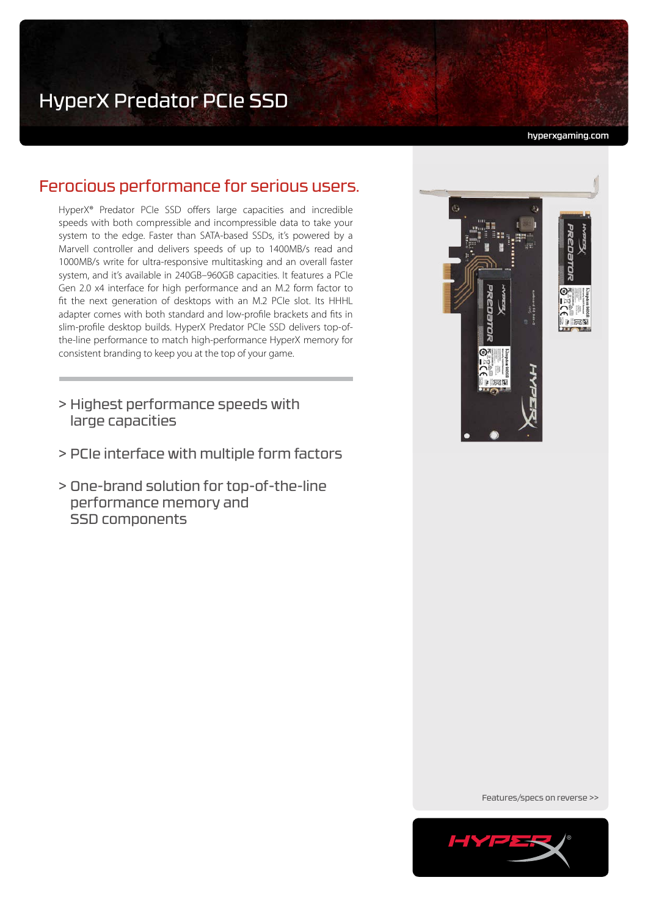hyperxgaming.com

# Ferocious performance for serious users.

HyperX® Predator PCIe SSD offers large capacities and incredible speeds with both compressible and incompressible data to take your system to the edge. Faster than SATA-based SSDs, it's powered by a Marvell controller and delivers speeds of up to 1400MB/s read and 1000MB/s write for ultra-responsive multitasking and an overall faster system, and it's available in 240GB–960GB capacities. It features a PCIe Gen 2.0 x4 interface for high performance and an M.2 form factor to fit the next generation of desktops with an M.2 PCIe slot. Its HHHL adapter comes with both standard and low-profile brackets and fits in slim-profile desktop builds. HyperX Predator PCIe SSD delivers top-ofthe-line performance to match high-performance HyperX memory for consistent branding to keep you at the top of your game.

- > Highest performance speeds with large capacities
- > PCIe interface with multiple form factors
- > One-brand solution for top-of-the-line performance memory and SSD components



Features/specs on reverse >>